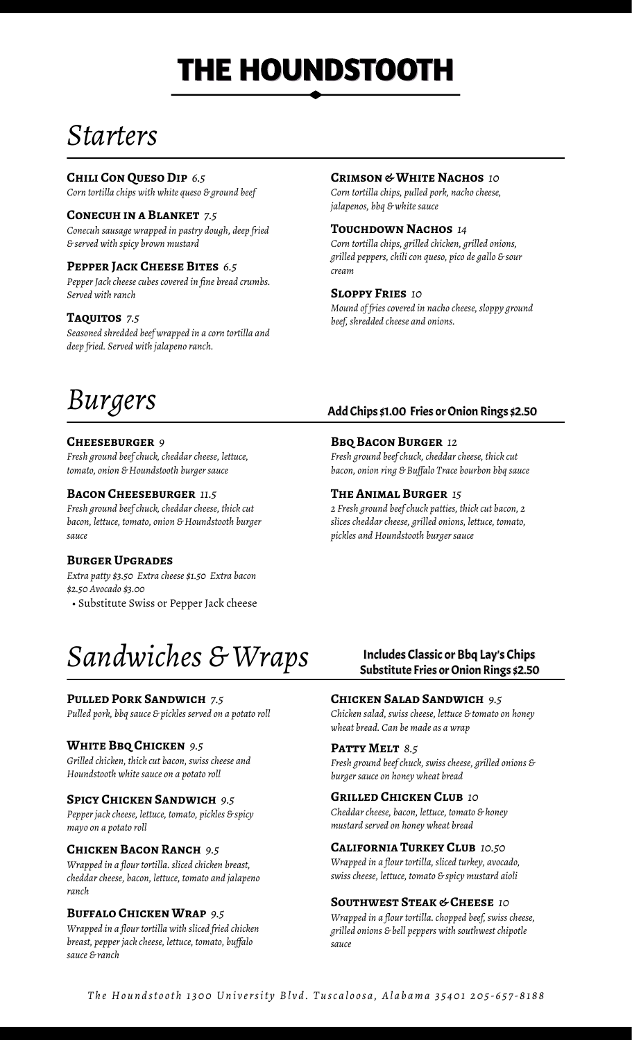# **THE HOUNDSTOOTH**

### *Starters*

#### **Chili Con Queso Dip** *6.5*

*Corn tortilla chips with white queso & ground beef*

#### **Conecuh in a Blanket** *7.5*

*Conecuh sausage wrapped in pastry dough, deep fried & served with spicy brown mustard*

#### **Pepper Jack Cheese Bites** *6.5 cream*

*Pepper Jack cheese cubes covered in fine bread crumbs. Served with ranch* **Sloppy Fries** *10*

*Seasoned shredded beef wrapped in a corn tortilla and deep fried. Served with jalapeno ranch.*

#### **Crimson & White Nachos** *10*

*Corn tortilla chips, pulled pork, nacho cheese, jalapenos, bbq & white sauce*

#### **Touchdown Nachos** *14*

*Corn tortilla chips, grilled chicken, grilled onions, grilled peppers, chili con queso, pico de gallo & sour*

*Mound of fries covered in nacho cheese, sloppy ground* **Taquitos** *beef, shredded cheese and onions. 7.5*

### *Burgers*

#### **Cheeseburger** *9*

*Fresh ground beef chuck, cheddar cheese, lettuce, tomato, onion & Houndstooth burger sauce*

#### **Bacon Cheeseburger** *11.5*

*Fresh ground beef chuck, cheddar cheese, thick cut bacon, lettuce, tomato, onion & Houndstooth burger sauce*

#### **Burger Upgrades**

*Extra patty \$3.50 Extra cheese \$1.50 Extra bacon \$2.50 Avocado \$3.00*

• Substitute Swiss or Pepper Jack cheese

### *Sandwiches & Wraps*

#### **Pulled Pork Sandwich** *7.5*

*Pulled pork, bbq sauce & pickles served on a potato roll*

#### **White Bbq Chicken** *9.5*

*Grilled chicken, thick cut bacon, swiss cheese and Houndstooth white sauce on a potato roll*

#### **Spicy Chicken Sandwich** *9.5*

*Pepper jack cheese, lettuce, tomato, pickles & spicy mayo on a potato roll*

#### **Chicken Bacon Ranch** *9.5*

*Wrapped in a flour tortilla. sliced chicken breast, cheddar cheese, bacon, lettuce, tomato and jalapeno ranch*

#### **Buffalo Chicken Wrap** *9.5*

*Wrapped in a flour tortilla with sliced fried chicken breast, pepper jack cheese, lettuce, tomato, buffalo sauce & ranch*

#### Add Chips \$1.00 Fries or Onion Rings \$2.50

#### **Bbq Bacon Burger** *12*

*Fresh ground beef chuck, cheddar cheese, thick cut bacon, onion ring & Buffalo Trace bourbon bbq sauce*

#### **The Animal Burger** *15*

*2 Fresh ground beef chuck patties, thick cut bacon, 2 slices cheddar cheese, grilled onions, lettuce, tomato, pickles and Houndstooth burger sauce*

#### Includes Classic or Bbq Lay's Chips Substitute Fries or Onion Rings \$2.50

#### **Chicken Salad Sandwich** *9.5*

*Chicken salad, swiss cheese, lettuce & tomato on honey wheat bread. Can be made as a wrap*

#### **Patty Melt** *8.5*

*Fresh ground beef chuck, swiss cheese, grilled onions & burger sauce on honey wheat bread*

#### **Grilled Chicken Club** *10*

*Cheddar cheese, bacon, lettuce, tomato & honey mustard served on honey wheat bread*

#### **California Turkey Club** *10.50*

*Wrapped in a flour tortilla, sliced turkey, avocado, swiss cheese, lettuce, tomato & spicy mustard aioli*

#### **Southwest Steak & Cheese** *10*

*Wrapped in a flour tortilla. chopped beef, swiss cheese, grilled onions & bell peppers with southwest chipotle sauce*